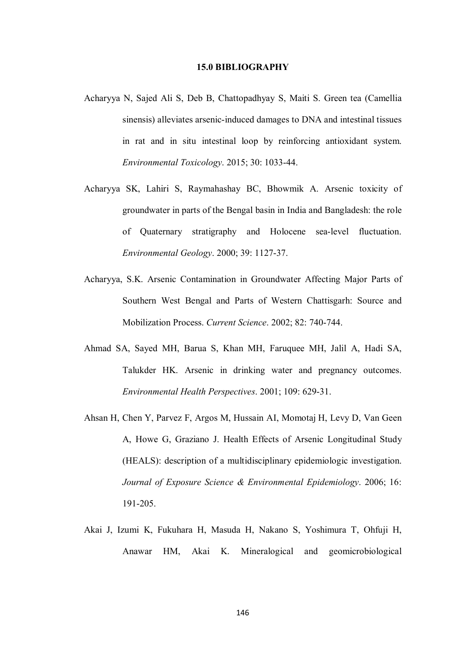## **15.0 BIBLIOGRAPHY**

- Acharyya N, Sajed Ali S, Deb B, Chattopadhyay S, Maiti S. Green tea (Camellia sinensis) alleviates arsenic-induced damages to DNA and intestinal tissues in rat and in situ intestinal loop by reinforcing antioxidant system. *Environmental Toxicology*. 2015; 30: 1033-44.
- Acharyya SK, Lahiri S, Raymahashay BC, Bhowmik A. Arsenic toxicity of groundwater in parts of the Bengal basin in India and Bangladesh: the role of Quaternary stratigraphy and Holocene sea-level fluctuation. *Environmental Geology*. 2000; 39: 1127-37.
- Acharyya, S.K. Arsenic Contamination in Groundwater Affecting Major Parts of Southern West Bengal and Parts of Western Chattisgarh: Source and Mobilization Process. *Current Science*. 2002; 82: 740-744.
- Ahmad SA, Sayed MH, Barua S, Khan MH, Faruquee MH, Jalil A, Hadi SA, Talukder HK. Arsenic in drinking water and pregnancy outcomes. *Environmental Health Perspectives*. 2001; 109: 629-31.
- Ahsan H, Chen Y, Parvez F, Argos M, Hussain AI, Momotaj H, Levy D, Van Geen A, Howe G, Graziano J. Health Effects of Arsenic Longitudinal Study (HEALS): description of a multidisciplinary epidemiologic investigation. *Journal of Exposure Science & Environmental Epidemiology*. 2006; 16: 191-205.
- Akai J, Izumi K, Fukuhara H, Masuda H, Nakano S, Yoshimura T, Ohfuji H, Anawar HM, Akai K. Mineralogical and geomicrobiological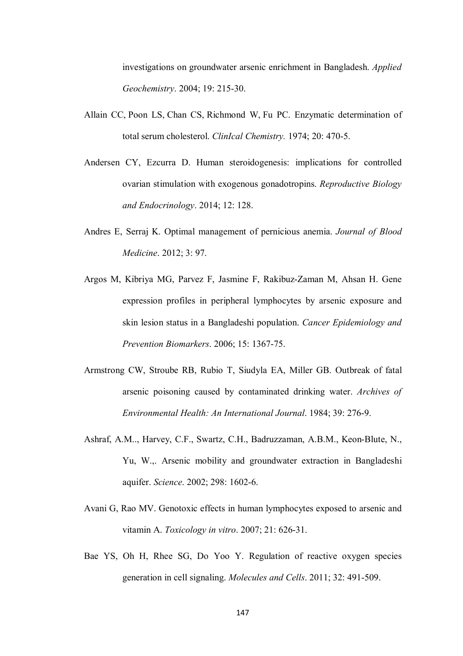investigations on groundwater arsenic enrichment in Bangladesh. *Applied Geochemistry*. 2004; 19: 215-30.

- Allain CC, Poon LS, Chan CS, Richmond W, Fu PC. Enzymatic determination of total serum cholesterol. *ClinIcal Chemistry.* 1974; 20: 470-5.
- Andersen CY, Ezcurra D. Human steroidogenesis: implications for controlled ovarian stimulation with exogenous gonadotropins. *Reproductive Biology and Endocrinology*. 2014; 12: 128.
- Andres E, Serraj K. Optimal management of pernicious anemia. *Journal of Blood Medicine*. 2012; 3: 97.
- Argos M, Kibriya MG, Parvez F, Jasmine F, Rakibuz-Zaman M, Ahsan H. Gene expression profiles in peripheral lymphocytes by arsenic exposure and skin lesion status in a Bangladeshi population. *Cancer Epidemiology and Prevention Biomarkers*. 2006; 15: 1367-75.
- Armstrong CW, Stroube RB, Rubio T, Siudyla EA, Miller GB. Outbreak of fatal arsenic poisoning caused by contaminated drinking water. *Archives of Environmental Health: An International Journal*. 1984; 39: 276-9.
- Ashraf, A.M.., Harvey, C.F., Swartz, C.H., Badruzzaman, A.B.M., Keon-Blute, N., Yu, W.,. Arsenic mobility and groundwater extraction in Bangladeshi aquifer. *Science*. 2002; 298: 1602-6.
- Avani G, Rao MV. Genotoxic effects in human lymphocytes exposed to arsenic and vitamin A. *Toxicology in vitro*. 2007; 21: 626-31.
- Bae YS, Oh H, Rhee SG, Do Yoo Y. Regulation of reactive oxygen species generation in cell signaling. *Molecules and Cells*. 2011; 32: 491-509.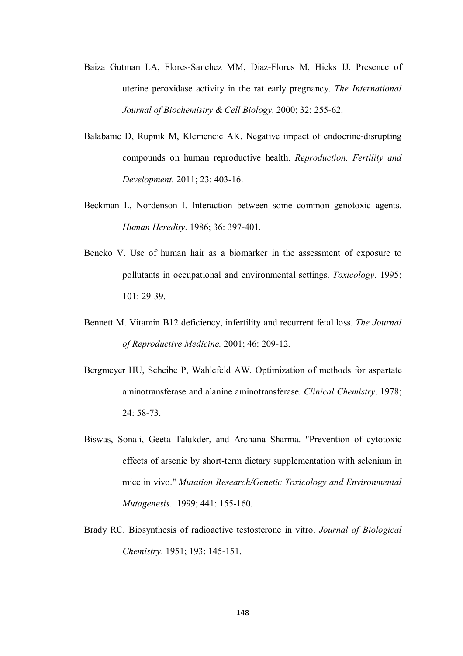- Baiza Gutman LA, Flores-Sanchez MM, Diaz-Flores M, Hicks JJ. Presence of uterine peroxidase activity in the rat early pregnancy. *The International Journal of Biochemistry & Cell Biology*. 2000; 32: 255-62.
- Balabanic D, Rupnik M, Klemencic AK. Negative impact of endocrine-disrupting compounds on human reproductive health. *Reproduction, Fertility and Development*. 2011; 23: 403-16.
- Beckman L, Nordenson I. Interaction between some common genotoxic agents. *Human Heredity*. 1986; 36: 397-401.
- Bencko V. Use of human hair as a biomarker in the assessment of exposure to pollutants in occupational and environmental settings. *Toxicology*. 1995; 101: 29-39.
- Bennett M. Vitamin B12 deficiency, infertility and recurrent fetal loss. *The Journal of Reproductive Medicine.* 2001; 46: 209-12.
- Bergmeyer HU, Scheibe P, Wahlefeld AW. Optimization of methods for aspartate aminotransferase and alanine aminotransferase. *Clinical Chemistry*. 1978; 24: 58-73.
- Biswas, Sonali, Geeta Talukder, and Archana Sharma. "Prevention of cytotoxic effects of arsenic by short-term dietary supplementation with selenium in mice in vivo." *Mutation Research/Genetic Toxicology and Environmental Mutagenesis.* 1999; 441: 155-160.
- Brady RC. Biosynthesis of radioactive testosterone in vitro. *Journal of Biological Chemistry*. 1951; 193: 145-151.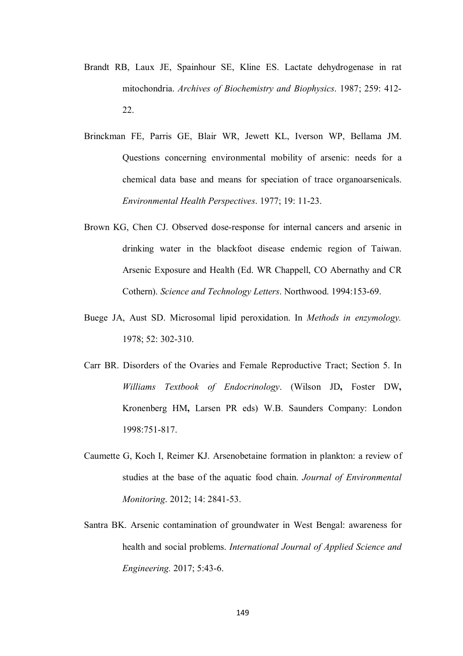- Brandt RB, Laux JE, Spainhour SE, Kline ES. Lactate dehydrogenase in rat mitochondria. *Archives of Biochemistry and Biophysics*. 1987; 259: 412- 22.
- Brinckman FE, Parris GE, Blair WR, Jewett KL, Iverson WP, Bellama JM. Questions concerning environmental mobility of arsenic: needs for a chemical data base and means for speciation of trace organoarsenicals. *Environmental Health Perspectives*. 1977; 19: 11-23.
- Brown KG, Chen CJ. Observed dose-response for internal cancers and arsenic in drinking water in the blackfoot disease endemic region of Taiwan. Arsenic Exposure and Health (Ed. WR Chappell, CO Abernathy and CR Cothern). *Science and Technology Letters*. Northwood. 1994:153-69.
- Buege JA, Aust SD. Microsomal lipid peroxidation. In *Methods in enzymology.* 1978; 52: 302-310.
- Carr BR. Disorders of the Ovaries and Female Reproductive Tract; Section 5. In *Williams Textbook of Endocrinology*. (Wilson JD**,** Foster DW**,** Kronenberg HM**,** Larsen PR eds) W.B. Saunders Company: London 1998:751-817.
- Caumette G, Koch I, Reimer KJ. Arsenobetaine formation in plankton: a review of studies at the base of the aquatic food chain. *Journal of Environmental Monitoring*. 2012; 14: 2841-53.
- Santra BK. Arsenic contamination of groundwater in West Bengal: awareness for health and social problems. *International Journal of Applied Science and Engineering.* 2017; 5:43-6.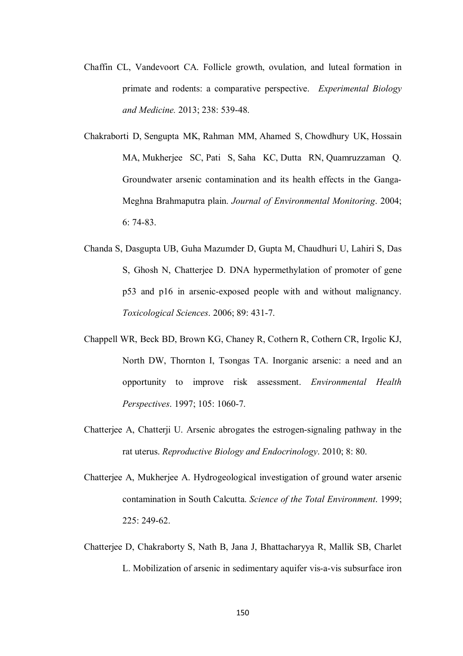- Chaffin CL, Vandevoort CA. Follicle growth, ovulation, and luteal formation in primate and rodents: a comparative perspective. *Experimental Biology and Medicine.* 2013; 238: 539-48.
- Chakraborti D, Sengupta MK, Rahman MM, Ahamed S, Chowdhury UK, Hossain MA, Mukherjee SC, Pati S, Saha KC, Dutta RN, Quamruzzaman Q. Groundwater arsenic contamination and its health effects in the Ganga-Meghna Brahmaputra plain. *Journal of Environmental Monitoring*. 2004; 6: 74-83.
- Chanda S, Dasgupta UB, Guha Mazumder D, Gupta M, Chaudhuri U, Lahiri S, Das S, Ghosh N, Chatterjee D. DNA hypermethylation of promoter of gene p53 and p16 in arsenic-exposed people with and without malignancy. *Toxicological Sciences*. 2006; 89: 431-7.
- Chappell WR, Beck BD, Brown KG, Chaney R, Cothern R, Cothern CR, Irgolic KJ, North DW, Thornton I, Tsongas TA. Inorganic arsenic: a need and an opportunity to improve risk assessment. *Environmental Health Perspectives*. 1997; 105: 1060-7.
- Chatterjee A, Chatterji U. Arsenic abrogates the estrogen-signaling pathway in the rat uterus. *Reproductive Biology and Endocrinology*. 2010; 8: 80.
- Chatterjee A, Mukherjee A. Hydrogeological investigation of ground water arsenic contamination in South Calcutta. *Science of the Total Environment*. 1999;  $225 \cdot 249 - 62$
- Chatterjee D, Chakraborty S, Nath B, Jana J, Bhattacharyya R, Mallik SB, Charlet L. Mobilization of arsenic in sedimentary aquifer vis-a-vis subsurface iron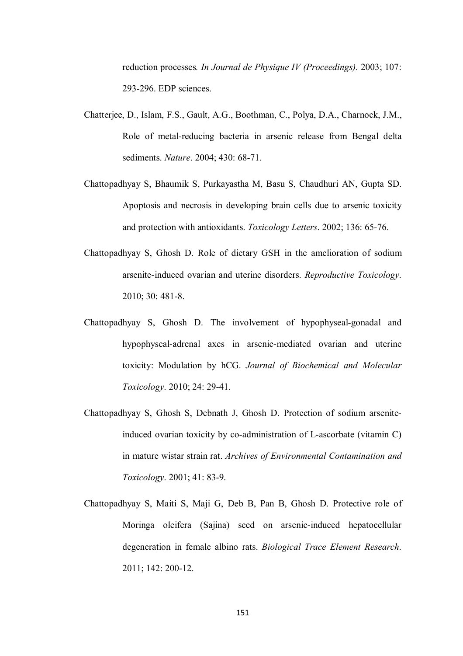reduction processes*. In Journal de Physique IV (Proceedings).* 2003; 107: 293-296. EDP sciences.

- Chatterjee, D., Islam, F.S., Gault, A.G., Boothman, C., Polya, D.A., Charnock, J.M., Role of metal-reducing bacteria in arsenic release from Bengal delta sediments. *Nature*. 2004; 430: 68-71.
- Chattopadhyay S, Bhaumik S, Purkayastha M, Basu S, Chaudhuri AN, Gupta SD. Apoptosis and necrosis in developing brain cells due to arsenic toxicity and protection with antioxidants. *Toxicology Letters*. 2002; 136: 65-76.
- Chattopadhyay S, Ghosh D. Role of dietary GSH in the amelioration of sodium arsenite-induced ovarian and uterine disorders. *Reproductive Toxicology*. 2010; 30: 481-8.
- Chattopadhyay S, Ghosh D. The involvement of hypophyseal-gonadal and hypophyseal-adrenal axes in arsenic-mediated ovarian and uterine toxicity: Modulation by hCG. *Journal of Biochemical and Molecular Toxicology*. 2010; 24: 29-41.
- Chattopadhyay S, Ghosh S, Debnath J, Ghosh D. Protection of sodium arseniteinduced ovarian toxicity by co-administration of L-ascorbate (vitamin C) in mature wistar strain rat. *Archives of Environmental Contamination and Toxicology*. 2001; 41: 83-9.
- Chattopadhyay S, Maiti S, Maji G, Deb B, Pan B, Ghosh D. Protective role of Moringa oleifera (Sajina) seed on arsenic-induced hepatocellular degeneration in female albino rats. *Biological Trace Element Research*. 2011; 142: 200-12.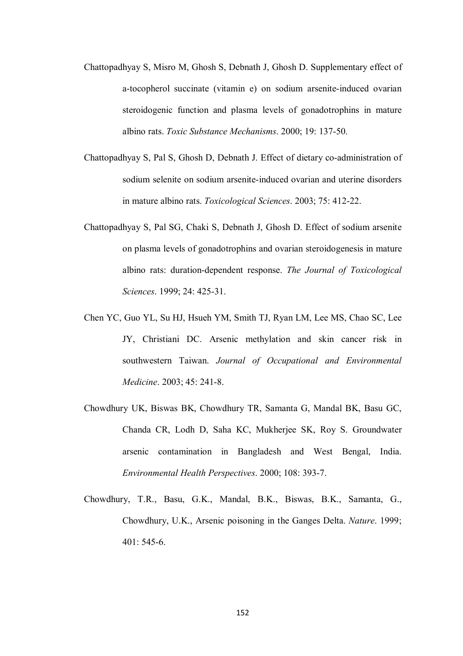- Chattopadhyay S, Misro M, Ghosh S, Debnath J, Ghosh D. Supplementary effect of a-tocopherol succinate (vitamin e) on sodium arsenite-induced ovarian steroidogenic function and plasma levels of gonadotrophins in mature albino rats. *Toxic Substance Mechanisms*. 2000; 19: 137-50.
- Chattopadhyay S, Pal S, Ghosh D, Debnath J. Effect of dietary co-administration of sodium selenite on sodium arsenite-induced ovarian and uterine disorders in mature albino rats. *Toxicological Sciences*. 2003; 75: 412-22.
- Chattopadhyay S, Pal SG, Chaki S, Debnath J, Ghosh D. Effect of sodium arsenite on plasma levels of gonadotrophins and ovarian steroidogenesis in mature albino rats: duration-dependent response. *The Journal of Toxicological Sciences*. 1999; 24: 425-31.
- Chen YC, Guo YL, Su HJ, Hsueh YM, Smith TJ, Ryan LM, Lee MS, Chao SC, Lee JY, Christiani DC. Arsenic methylation and skin cancer risk in southwestern Taiwan. *Journal of Occupational and Environmental Medicine*. 2003; 45: 241-8.
- Chowdhury UK, Biswas BK, Chowdhury TR, Samanta G, Mandal BK, Basu GC, Chanda CR, Lodh D, Saha KC, Mukherjee SK, Roy S. Groundwater arsenic contamination in Bangladesh and West Bengal, India. *Environmental Health Perspectives*. 2000; 108: 393-7.
- Chowdhury, T.R., Basu, G.K., Mandal, B.K., Biswas, B.K., Samanta, G., Chowdhury, U.K., Arsenic poisoning in the Ganges Delta. *Nature*. 1999; 401: 545-6.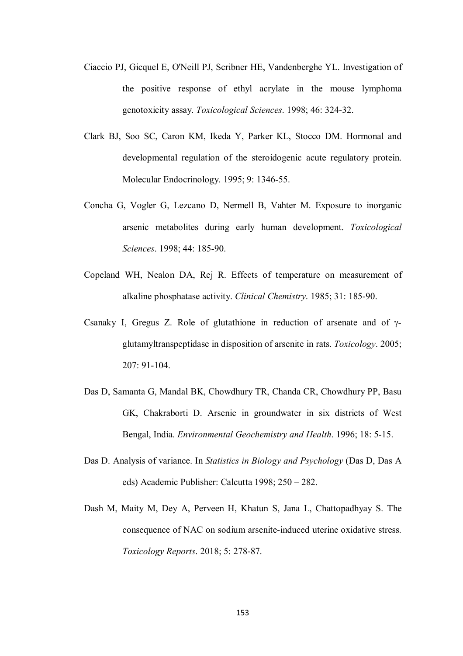- Ciaccio PJ, Gicquel E, O'Neill PJ, Scribner HE, Vandenberghe YL. Investigation of the positive response of ethyl acrylate in the mouse lymphoma genotoxicity assay. *Toxicological Sciences*. 1998; 46: 324-32.
- Clark BJ, Soo SC, Caron KM, Ikeda Y, Parker KL, Stocco DM. Hormonal and developmental regulation of the steroidogenic acute regulatory protein. Molecular Endocrinology. 1995; 9: 1346-55.
- Concha G, Vogler G, Lezcano D, Nermell B, Vahter M. Exposure to inorganic arsenic metabolites during early human development. *Toxicological Sciences*. 1998; 44: 185-90.
- Copeland WH, Nealon DA, Rej R. Effects of temperature on measurement of alkaline phosphatase activity. *Clinical Chemistry*. 1985; 31: 185-90.
- Csanaky I, Gregus Z. Role of glutathione in reduction of arsenate and of γglutamyltranspeptidase in disposition of arsenite in rats. *Toxicology*. 2005; 207: 91-104.
- Das D, Samanta G, Mandal BK, Chowdhury TR, Chanda CR, Chowdhury PP, Basu GK, Chakraborti D. Arsenic in groundwater in six districts of West Bengal, India. *Environmental Geochemistry and Health*. 1996; 18: 5-15.
- Das D. Analysis of variance. In *Statistics in Biology and Psychology* (Das D, Das A eds) Academic Publisher: Calcutta 1998; 250 – 282.
- Dash M, Maity M, Dey A, Perveen H, Khatun S, Jana L, Chattopadhyay S. The consequence of NAC on sodium arsenite-induced uterine oxidative stress. *Toxicology Reports*. 2018; 5: 278-87.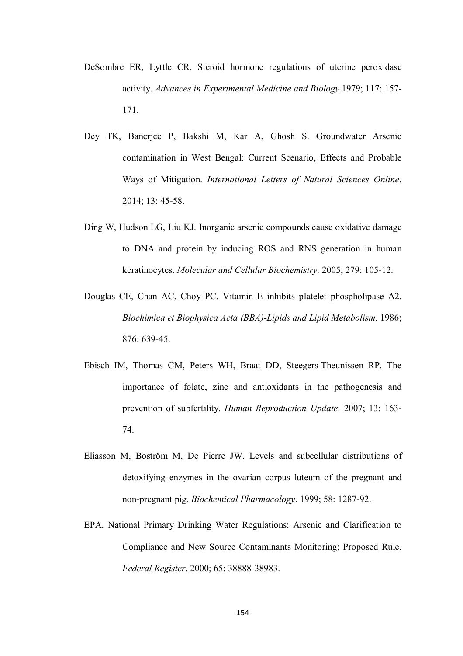- DeSombre ER, Lyttle CR. Steroid hormone regulations of uterine peroxidase activity. *Advances in Experimental Medicine and Biology.*1979; 117: 157- 171.
- Dey TK, Banerjee P, Bakshi M, Kar A, Ghosh S. Groundwater Arsenic contamination in West Bengal: Current Scenario, Effects and Probable Ways of Mitigation. *International Letters of Natural Sciences Online*. 2014; 13: 45-58.
- Ding W, Hudson LG, Liu KJ. Inorganic arsenic compounds cause oxidative damage to DNA and protein by inducing ROS and RNS generation in human keratinocytes. *Molecular and Cellular Biochemistry*. 2005; 279: 105-12.
- Douglas CE, Chan AC, Choy PC. Vitamin E inhibits platelet phospholipase A2. *Biochimica et Biophysica Acta (BBA)-Lipids and Lipid Metabolism*. 1986; 876: 639-45.
- Ebisch IM, Thomas CM, Peters WH, Braat DD, Steegers-Theunissen RP. The importance of folate, zinc and antioxidants in the pathogenesis and prevention of subfertility. *Human Reproduction Update*. 2007; 13: 163- 74.
- Eliasson M, Boström M, De Pierre JW. Levels and subcellular distributions of detoxifying enzymes in the ovarian corpus luteum of the pregnant and non-pregnant pig. *Biochemical Pharmacology*. 1999; 58: 1287-92.
- EPA. National Primary Drinking Water Regulations: Arsenic and Clarification to Compliance and New Source Contaminants Monitoring; Proposed Rule. *Federal Register*. 2000; 65: 38888-38983.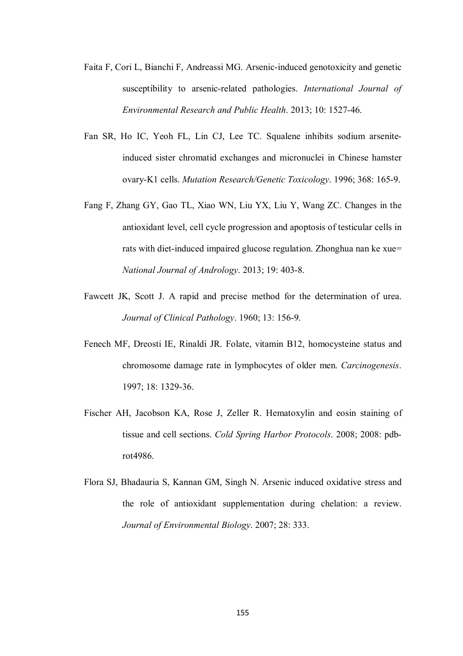- Faita F, Cori L, Bianchi F, Andreassi MG. Arsenic-induced genotoxicity and genetic susceptibility to arsenic-related pathologies. *International Journal of Environmental Research and Public Health*. 2013; 10: 1527-46.
- Fan SR, Ho IC, Yeoh FL, Lin CJ, Lee TC. Squalene inhibits sodium arseniteinduced sister chromatid exchanges and micronuclei in Chinese hamster ovary-K1 cells. *Mutation Research/Genetic Toxicology*. 1996; 368: 165-9.
- Fang F, Zhang GY, Gao TL, Xiao WN, Liu YX, Liu Y, Wang ZC. Changes in the antioxidant level, cell cycle progression and apoptosis of testicular cells in rats with diet-induced impaired glucose regulation. Zhonghua nan ke xue= *National Journal of Andrology*. 2013; 19: 403-8.
- Fawcett JK, Scott J. A rapid and precise method for the determination of urea. *Journal of Clinical Pathology*. 1960; 13: 156-9.
- Fenech MF, Dreosti IE, Rinaldi JR. Folate, vitamin B12, homocysteine status and chromosome damage rate in lymphocytes of older men. *Carcinogenesis*. 1997; 18: 1329-36.
- Fischer AH, Jacobson KA, Rose J, Zeller R. Hematoxylin and eosin staining of tissue and cell sections. *Cold Spring Harbor Protocols*. 2008; 2008: pdbrot4986.
- Flora SJ, Bhadauria S, Kannan GM, Singh N. Arsenic induced oxidative stress and the role of antioxidant supplementation during chelation: a review. *Journal of Environmental Biology*. 2007; 28: 333.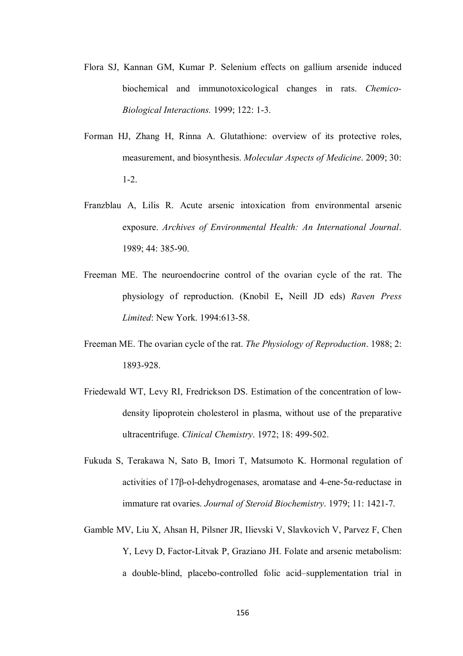- Flora SJ, Kannan GM, Kumar P. Selenium effects on gallium arsenide induced biochemical and immunotoxicological changes in rats. *Chemico-Biological Interactions.* 1999; 122: 1-3.
- Forman HJ, Zhang H, Rinna A. Glutathione: overview of its protective roles, measurement, and biosynthesis. *Molecular Aspects of Medicine*. 2009; 30: 1-2.
- Franzblau A, Lilis R. Acute arsenic intoxication from environmental arsenic exposure. *Archives of Environmental Health: An International Journal*. 1989; 44: 385-90.
- Freeman ME. The neuroendocrine control of the ovarian cycle of the rat. The physiology of reproduction. (Knobil E**,** Neill JD eds) *Raven Press Limited*: New York. 1994:613-58.
- Freeman ME. The ovarian cycle of the rat. *The Physiology of Reproduction*. 1988; 2: 1893-928.
- Friedewald WT, Levy RI, Fredrickson DS. Estimation of the concentration of lowdensity lipoprotein cholesterol in plasma, without use of the preparative ultracentrifuge. *Clinical Chemistry*. 1972; 18: 499-502.
- Fukuda S, Terakawa N, Sato B, Imori T, Matsumoto K. Hormonal regulation of activities of 17β-ol-dehydrogenases, aromatase and 4-ene-5α-reductase in immature rat ovaries. *Journal of Steroid Biochemistry*. 1979; 11: 1421-7.
- Gamble MV, Liu X, Ahsan H, Pilsner JR, Ilievski V, Slavkovich V, Parvez F, Chen Y, Levy D, Factor-Litvak P, Graziano JH. Folate and arsenic metabolism: a double-blind, placebo-controlled folic acid–supplementation trial in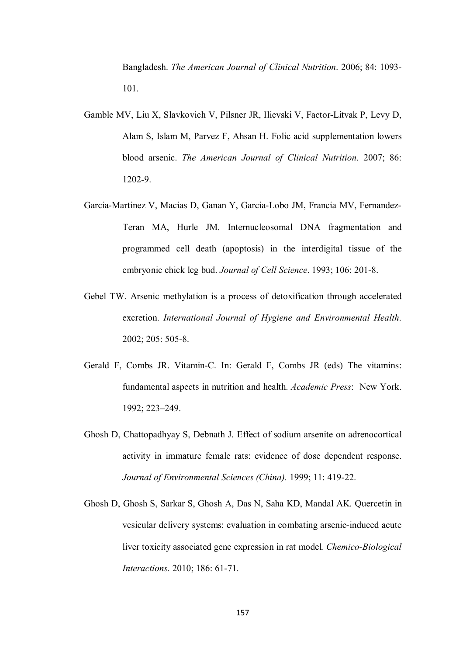Bangladesh. *The American Journal of Clinical Nutrition*. 2006; 84: 1093- 101.

- Gamble MV, Liu X, Slavkovich V, Pilsner JR, Ilievski V, Factor-Litvak P, Levy D, Alam S, Islam M, Parvez F, Ahsan H. Folic acid supplementation lowers blood arsenic. *The American Journal of Clinical Nutrition*. 2007; 86: 1202-9.
- Garcia-Martinez V, Macias D, Ganan Y, Garcia-Lobo JM, Francia MV, Fernandez-Teran MA, Hurle JM. Internucleosomal DNA fragmentation and programmed cell death (apoptosis) in the interdigital tissue of the embryonic chick leg bud. *Journal of Cell Science*. 1993; 106: 201-8.
- Gebel TW. Arsenic methylation is a process of detoxification through accelerated excretion. *International Journal of Hygiene and Environmental Health*. 2002; 205: 505-8.
- Gerald F, Combs JR. Vitamin-C. In: Gerald F, Combs JR (eds) The vitamins: fundamental aspects in nutrition and health. *Academic Press*: New York. 1992; 223–249.
- Ghosh D, Chattopadhyay S, Debnath J. Effect of sodium arsenite on adrenocortical activity in immature female rats: evidence of dose dependent response. *Journal of Environmental Sciences (China).* 1999; 11: 419-22.
- Ghosh D, Ghosh S, Sarkar S, Ghosh A, Das N, Saha KD, Mandal AK. Quercetin in vesicular delivery systems: evaluation in combating arsenic-induced acute liver toxicity associated gene expression in rat model*. Chemico-Biological Interactions*. 2010; 186: 61-71.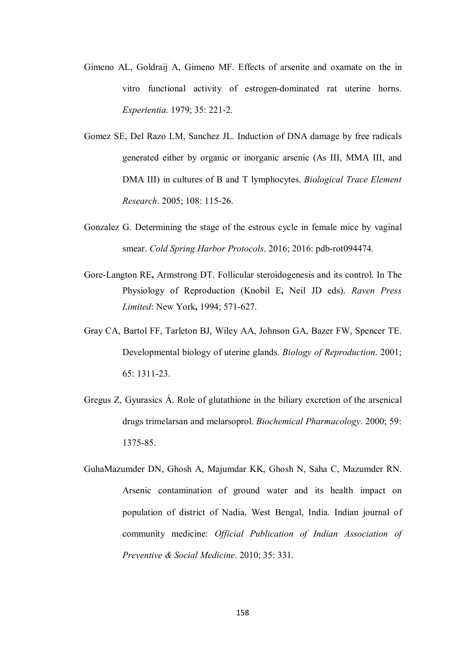- Gimeno AL, Goldraij A, Gimeno MF. Effects of arsenite and oxamate on the in vitro functional activity of estrogen-dominated rat uterine horns. *Experientia*. 1979; 35: 221-2.
- Gomez SE, Del Razo LM, Sanchez JL. Induction of DNA damage by free radicals generated either by organic or inorganic arsenic (As III, MMA III, and DMA III) in cultures of B and T lymphocytes. *Biological Trace Element Research*. 2005; 108: 115-26.
- Gonzalez G. Determining the stage of the estrous cycle in female mice by vaginal smear. *Cold Spring Harbor Protocols*. 2016; 2016: pdb-rot094474.
- Gore-Langton RE**,** Armstrong DT. Follicular steroidogenesis and its control. In The Physiology of Reproduction (Knobil E**,** Neil JD eds). *Raven Press Limited*: New York**,** 1994; 571-627.
- Gray CA, Bartol FF, Tarleton BJ, Wiley AA, Johnson GA, Bazer FW, Spencer TE. Developmental biology of uterine glands. *Biology of Reproduction*. 2001; 65: 1311-23.
- Gregus Z, Gyurasics Á. Role of glutathione in the biliary excretion of the arsenical drugs trimelarsan and melarsoprol. *Biochemical Pharmacology*. 2000; 59: 1375-85.
- GuhaMazumder DN, Ghosh A, Majumdar KK, Ghosh N, Saha C, Mazumder RN. Arsenic contamination of ground water and its health impact on population of district of Nadia, West Bengal, India. Indian journal of community medicine: *Official Publication of Indian Association of Preventive & Social Medicine*. 2010; 35: 331.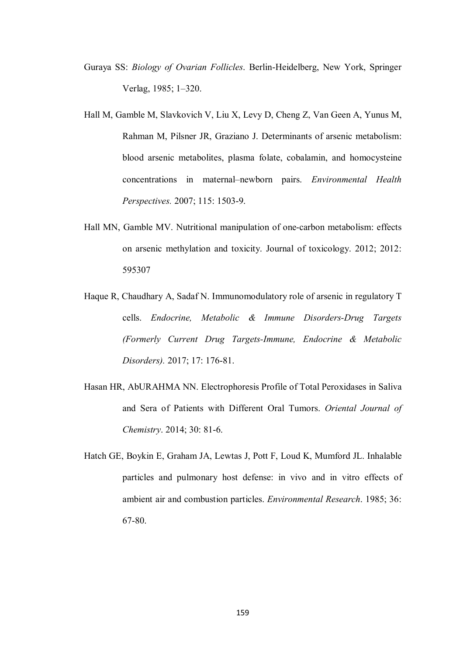- Guraya SS: *Biology of Ovarian Follicles*. Berlin-Heidelberg, New York, Springer Verlag, 1985; 1–320.
- Hall M, Gamble M, Slavkovich V, Liu X, Levy D, Cheng Z, Van Geen A, Yunus M, Rahman M, Pilsner JR, Graziano J. Determinants of arsenic metabolism: blood arsenic metabolites, plasma folate, cobalamin, and homocysteine concentrations in maternal–newborn pairs. *Environmental Health Perspectives.* 2007; 115: 1503-9.
- Hall MN, Gamble MV. Nutritional manipulation of one-carbon metabolism: effects on arsenic methylation and toxicity. Journal of toxicology. 2012; 2012: 595307
- Haque R, Chaudhary A, Sadaf N. Immunomodulatory role of arsenic in regulatory T cells. *Endocrine, Metabolic & Immune Disorders-Drug Targets (Formerly Current Drug Targets-Immune, Endocrine & Metabolic Disorders).* 2017; 17: 176-81.
- Hasan HR, AbURAHMA NN. Electrophoresis Profile of Total Peroxidases in Saliva and Sera of Patients with Different Oral Tumors. *Oriental Journal of Chemistry*. 2014; 30: 81-6.
- Hatch GE, Boykin E, Graham JA, Lewtas J, Pott F, Loud K, Mumford JL. Inhalable particles and pulmonary host defense: in vivo and in vitro effects of ambient air and combustion particles. *Environmental Research*. 1985; 36: 67-80.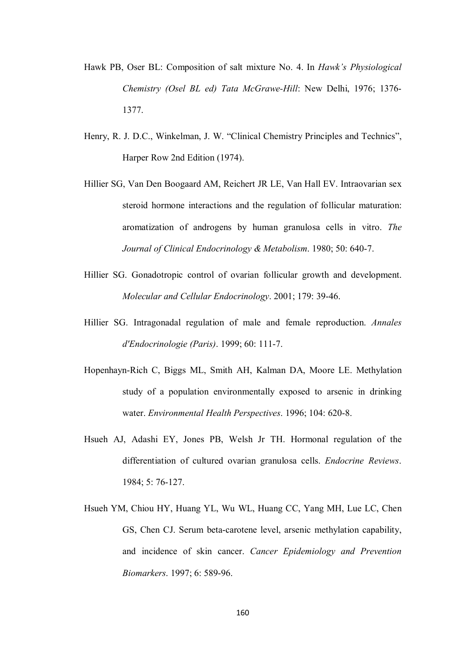- Hawk PB, Oser BL: Composition of salt mixture No. 4. In *Hawk's Physiological Chemistry (Osel BL ed) Tata McGrawe-Hill*: New Delhi, 1976; 1376- 1377.
- Henry, R. J. D.C., Winkelman, J. W. "Clinical Chemistry Principles and Technics", Harper Row 2nd Edition (1974).
- Hillier SG, Van Den Boogaard AM, Reichert JR LE, Van Hall EV. Intraovarian sex steroid hormone interactions and the regulation of follicular maturation: aromatization of androgens by human granulosa cells in vitro. *The Journal of Clinical Endocrinology & Metabolism*. 1980; 50: 640-7.
- Hillier SG. Gonadotropic control of ovarian follicular growth and development. *Molecular and Cellular Endocrinology*. 2001; 179: 39-46.
- Hillier SG. Intragonadal regulation of male and female reproduction. *Annales d'Endocrinologie (Paris)*. 1999; 60: 111-7.
- Hopenhayn-Rich C, Biggs ML, Smith AH, Kalman DA, Moore LE. Methylation study of a population environmentally exposed to arsenic in drinking water. *Environmental Health Perspectives*. 1996; 104: 620-8.
- Hsueh AJ, Adashi EY, Jones PB, Welsh Jr TH. Hormonal regulation of the differentiation of cultured ovarian granulosa cells. *Endocrine Reviews*. 1984; 5: 76-127.
- Hsueh YM, Chiou HY, Huang YL, Wu WL, Huang CC, Yang MH, Lue LC, Chen GS, Chen CJ. Serum beta-carotene level, arsenic methylation capability, and incidence of skin cancer. *Cancer Epidemiology and Prevention Biomarkers*. 1997; 6: 589-96.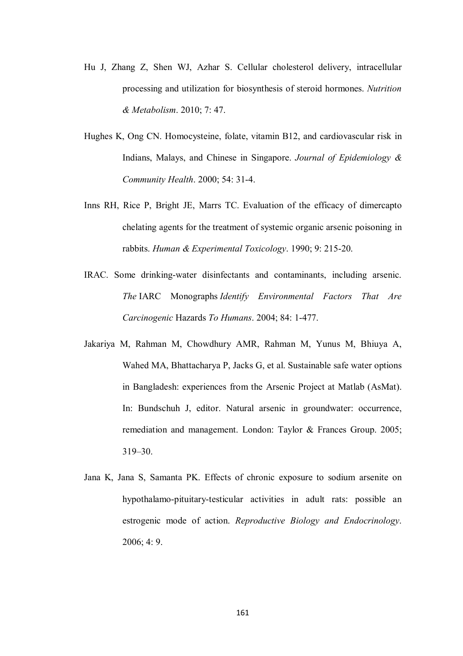- Hu J, Zhang Z, Shen WJ, Azhar S. Cellular cholesterol delivery, intracellular processing and utilization for biosynthesis of steroid hormones. *Nutrition & Metabolism*. 2010; 7: 47.
- Hughes K, Ong CN. Homocysteine, folate, vitamin B12, and cardiovascular risk in Indians, Malays, and Chinese in Singapore. *Journal of Epidemiology & Community Health*. 2000; 54: 31-4.
- Inns RH, Rice P, Bright JE, Marrs TC. Evaluation of the efficacy of dimercapto chelating agents for the treatment of systemic organic arsenic poisoning in rabbits. *Human & Experimental Toxicology*. 1990; 9: 215-20.
- IRAC. Some drinking-water disinfectants and contaminants, including arsenic. *The* IARC Monographs *Identify Environmental Factors That Are Carcinogenic* Hazards *To Humans*. 2004; 84: 1-477.
- Jakariya M, Rahman M, Chowdhury AMR, Rahman M, Yunus M, Bhiuya A, Wahed MA, Bhattacharya P, Jacks G, et al. Sustainable safe water options in Bangladesh: experiences from the Arsenic Project at Matlab (AsMat). In: Bundschuh J, editor. Natural arsenic in groundwater: occurrence, remediation and management. London: Taylor & Frances Group. 2005; 319–30.
- Jana K, Jana S, Samanta PK. Effects of chronic exposure to sodium arsenite on hypothalamo-pituitary-testicular activities in adult rats: possible an estrogenic mode of action. *Reproductive Biology and Endocrinology*. 2006; 4: 9.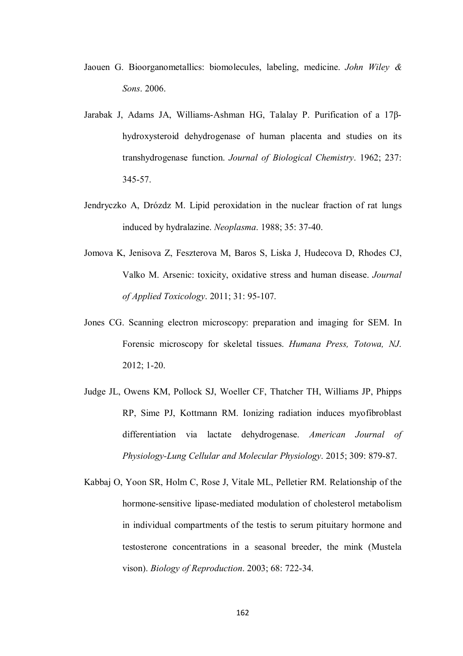- Jaouen G. Bioorganometallics: biomolecules, labeling, medicine. *John Wiley & Sons*. 2006.
- Jarabak J, Adams JA, Williams-Ashman HG, Talalay P. Purification of a 17βhydroxysteroid dehydrogenase of human placenta and studies on its transhydrogenase function. *Journal of Biological Chemistry*. 1962; 237: 345-57.
- Jendryczko A, Drózdz M. Lipid peroxidation in the nuclear fraction of rat lungs induced by hydralazine. *Neoplasma*. 1988; 35: 37-40.
- Jomova K, Jenisova Z, Feszterova M, Baros S, Liska J, Hudecova D, Rhodes CJ, Valko M. Arsenic: toxicity, oxidative stress and human disease. *Journal of Applied Toxicology*. 2011; 31: 95-107.
- Jones CG. Scanning electron microscopy: preparation and imaging for SEM. In Forensic microscopy for skeletal tissues. *Humana Press, Totowa, NJ*. 2012; 1-20.
- Judge JL, Owens KM, Pollock SJ, Woeller CF, Thatcher TH, Williams JP, Phipps RP, Sime PJ, Kottmann RM. Ionizing radiation induces myofibroblast differentiation via lactate dehydrogenase. *American Journal of Physiology-Lung Cellular and Molecular Physiology*. 2015; 309: 879-87.
- Kabbaj O, Yoon SR, Holm C, Rose J, Vitale ML, Pelletier RM. Relationship of the hormone-sensitive lipase-mediated modulation of cholesterol metabolism in individual compartments of the testis to serum pituitary hormone and testosterone concentrations in a seasonal breeder, the mink (Mustela vison). *Biology of Reproduction*. 2003; 68: 722-34.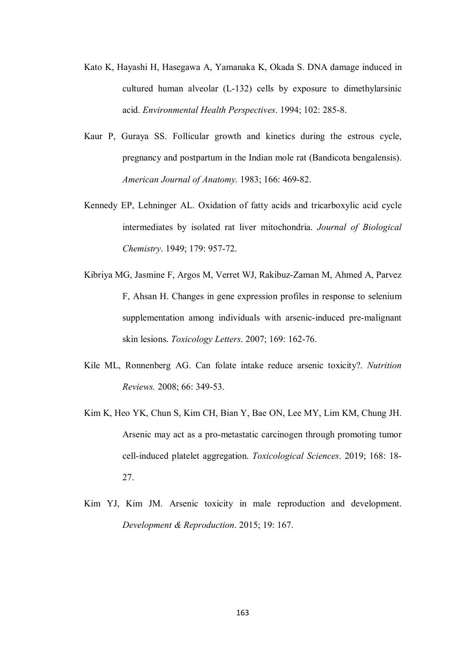- Kato K, Hayashi H, Hasegawa A, Yamanaka K, Okada S. DNA damage induced in cultured human alveolar (L-132) cells by exposure to dimethylarsinic acid. *Environmental Health Perspectives*. 1994; 102: 285-8.
- Kaur P, Guraya SS. Follicular growth and kinetics during the estrous cycle, pregnancy and postpartum in the Indian mole rat (Bandicota bengalensis). *American Journal of Anatomy*. 1983; 166: 469-82.
- Kennedy EP, Lehninger AL. Oxidation of fatty acids and tricarboxylic acid cycle intermediates by isolated rat liver mitochondria. *Journal of Biological Chemistry*. 1949; 179: 957-72.
- Kibriya MG, Jasmine F, Argos M, Verret WJ, Rakibuz-Zaman M, Ahmed A, Parvez F, Ahsan H. Changes in gene expression profiles in response to selenium supplementation among individuals with arsenic-induced pre-malignant skin lesions. *Toxicology Letters*. 2007; 169: 162-76.
- Kile ML, Ronnenberg AG. Can folate intake reduce arsenic toxicity?. *Nutrition Reviews.* 2008; 66: 349-53.
- Kim K, Heo YK, Chun S, Kim CH, Bian Y, Bae ON, Lee MY, Lim KM, Chung JH. Arsenic may act as a pro-metastatic carcinogen through promoting tumor cell-induced platelet aggregation. *Toxicological Sciences*. 2019; 168: 18- 27.
- Kim YJ, Kim JM. Arsenic toxicity in male reproduction and development. *Development & Reproduction*. 2015; 19: 167.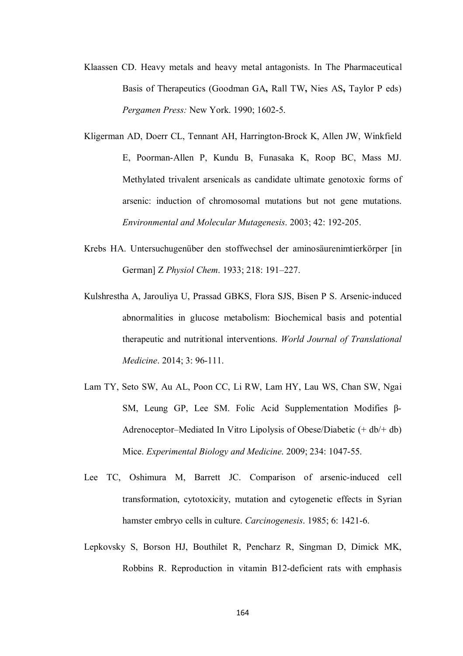- Klaassen CD. Heavy metals and heavy metal antagonists. In The Pharmaceutical Basis of Therapeutics (Goodman GA**,** Rall TW**,** Nies AS**,** Taylor P eds) *Pergamen Press:* New York. 1990; 1602-5.
- Kligerman AD, Doerr CL, Tennant AH, Harrington-Brock K, Allen JW, Winkfield E, Poorman-Allen P, Kundu B, Funasaka K, Roop BC, Mass MJ. Methylated trivalent arsenicals as candidate ultimate genotoxic forms of arsenic: induction of chromosomal mutations but not gene mutations. *Environmental and Molecular Mutagenesis*. 2003; 42: 192-205.
- Krebs HA. Untersuchugenüber den stoffwechsel der aminosäurenimtierkörper [in German] Z *Physiol Chem*. 1933; 218: 191–227.
- Kulshrestha A, Jarouliya U, Prassad GBKS, Flora SJS, Bisen P S. Arsenic-induced abnormalities in glucose metabolism: Biochemical basis and potential therapeutic and nutritional interventions. *World Journal of Translational Medicine*. 2014; 3: 96-111.
- Lam TY, Seto SW, Au AL, Poon CC, Li RW, Lam HY, Lau WS, Chan SW, Ngai SM, Leung GP, Lee SM. Folic Acid Supplementation Modifies β-Adrenoceptor–Mediated In Vitro Lipolysis of Obese/Diabetic (+ db/+ db) Mice. *Experimental Biology and Medicine*. 2009; 234: 1047-55.
- Lee TC, Oshimura M, Barrett JC. Comparison of arsenic-induced cell transformation, cytotoxicity, mutation and cytogenetic effects in Syrian hamster embryo cells in culture. *Carcinogenesis*. 1985; 6: 1421-6.
- Lepkovsky S, Borson HJ, Bouthilet R, Pencharz R, Singman D, Dimick MK, Robbins R. Reproduction in vitamin B12-deficient rats with emphasis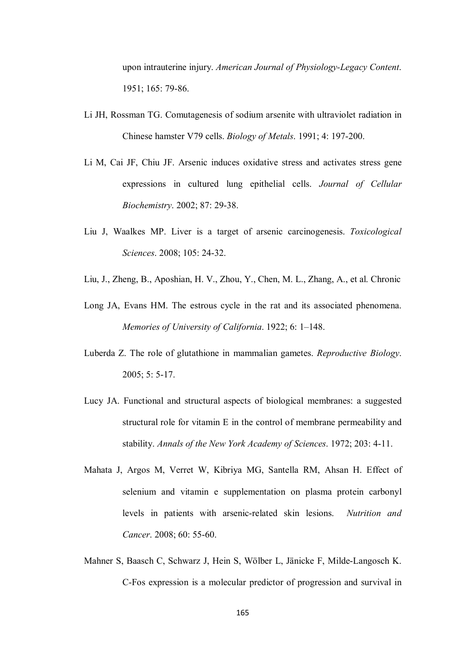upon intrauterine injury. *American Journal of Physiology-Legacy Content*. 1951; 165: 79-86.

- Li JH, Rossman TG. Comutagenesis of sodium arsenite with ultraviolet radiation in Chinese hamster V79 cells. *Biology of Metals*. 1991; 4: 197-200.
- Li M, Cai JF, Chiu JF. Arsenic induces oxidative stress and activates stress gene expressions in cultured lung epithelial cells. *Journal of Cellular Biochemistry*. 2002; 87: 29-38.
- Liu J, Waalkes MP. Liver is a target of arsenic carcinogenesis. *Toxicological Sciences*. 2008; 105: 24-32.
- Liu, J., Zheng, B., Aposhian, H. V., Zhou, Y., Chen, M. L., Zhang, A., et al. Chronic
- Long JA, Evans HM. The estrous cycle in the rat and its associated phenomena. *Memories of University of California*. 1922; 6: 1–148.
- Luberda Z. The role of glutathione in mammalian gametes. *Reproductive Biology*. 2005; 5: 5-17.
- Lucy JA. Functional and structural aspects of biological membranes: a suggested structural role for vitamin E in the control of membrane permeability and stability. *Annals of the New York Academy of Sciences*. 1972; 203: 4-11.
- Mahata J, Argos M, Verret W, Kibriya MG, Santella RM, Ahsan H. Effect of selenium and vitamin e supplementation on plasma protein carbonyl levels in patients with arsenic-related skin lesions. *Nutrition and Cancer*. 2008; 60: 55-60.
- Mahner S, Baasch C, Schwarz J, Hein S, Wölber L, Jänicke F, Milde-Langosch K. C-Fos expression is a molecular predictor of progression and survival in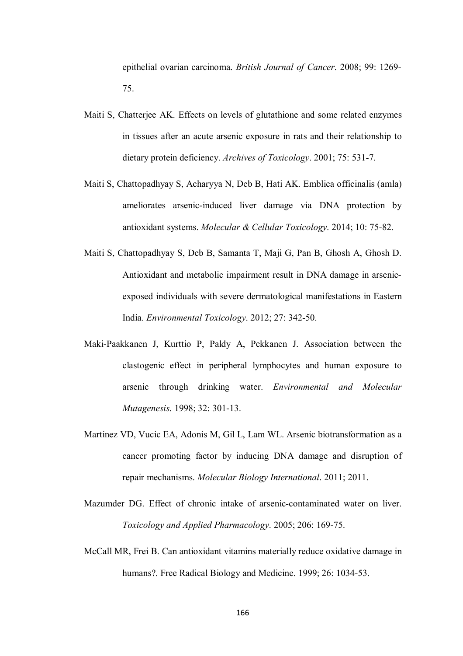epithelial ovarian carcinoma. *British Journal of Cancer*. 2008; 99: 1269- 75.

- Maiti S, Chatterjee AK. Effects on levels of glutathione and some related enzymes in tissues after an acute arsenic exposure in rats and their relationship to dietary protein deficiency. *Archives of Toxicology*. 2001; 75: 531-7.
- Maiti S, Chattopadhyay S, Acharyya N, Deb B, Hati AK. Emblica officinalis (amla) ameliorates arsenic-induced liver damage via DNA protection by antioxidant systems. *Molecular & Cellular Toxicology*. 2014; 10: 75-82.
- Maiti S, Chattopadhyay S, Deb B, Samanta T, Maji G, Pan B, Ghosh A, Ghosh D. Antioxidant and metabolic impairment result in DNA damage in arsenicexposed individuals with severe dermatological manifestations in Eastern India. *Environmental Toxicology*. 2012; 27: 342-50.
- Maki-Paakkanen J, Kurttio P, Paldy A, Pekkanen J. Association between the clastogenic effect in peripheral lymphocytes and human exposure to arsenic through drinking water. *Environmental and Molecular Mutagenesis*. 1998; 32: 301-13.
- Martinez VD, Vucic EA, Adonis M, Gil L, Lam WL. Arsenic biotransformation as a cancer promoting factor by inducing DNA damage and disruption of repair mechanisms. *Molecular Biology International*. 2011; 2011.
- Mazumder DG. Effect of chronic intake of arsenic-contaminated water on liver. *Toxicology and Applied Pharmacology*. 2005; 206: 169-75.
- McCall MR, Frei B. Can antioxidant vitamins materially reduce oxidative damage in humans?. Free Radical Biology and Medicine. 1999; 26: 1034-53.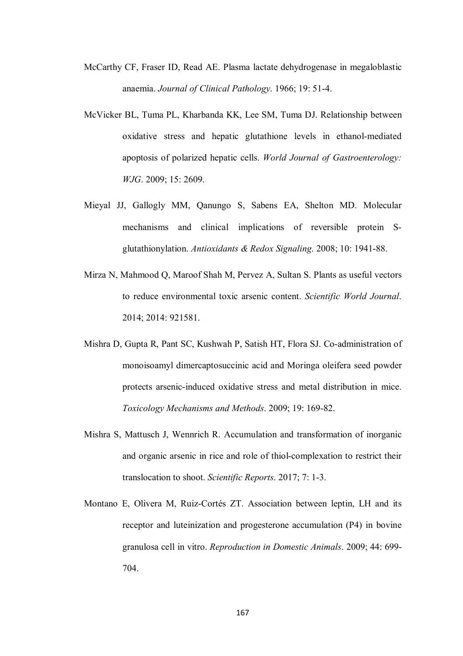- McCarthy CF, Fraser ID, Read AE. Plasma lactate dehydrogenase in megaloblastic anaemia. *Journal of Clinical Pathology*. 1966; 19: 51-4.
- McVicker BL, Tuma PL, Kharbanda KK, Lee SM, Tuma DJ. Relationship between oxidative stress and hepatic glutathione levels in ethanol-mediated apoptosis of polarized hepatic cells. *World Journal of Gastroenterology: WJG*. 2009; 15: 2609.
- Mieyal JJ, Gallogly MM, Qanungo S, Sabens EA, Shelton MD. Molecular mechanisms and clinical implications of reversible protein Sglutathionylation. *Antioxidants & Redox Signaling*. 2008; 10: 1941-88.
- Mirza N, Mahmood Q, Maroof Shah M, Pervez A, Sultan S. Plants as useful vectors to reduce environmental toxic arsenic content. *Scientific World Journal*. 2014; 2014: 921581.
- Mishra D, Gupta R, Pant SC, Kushwah P, Satish HT, Flora SJ. Co-administration of monoisoamyl dimercaptosuccinic acid and Moringa oleifera seed powder protects arsenic-induced oxidative stress and metal distribution in mice. *Toxicology Mechanisms and Methods*. 2009; 19: 169-82.
- Mishra S, Mattusch J, Wennrich R. Accumulation and transformation of inorganic and organic arsenic in rice and role of thiol-complexation to restrict their translocation to shoot. *Scientific Reports*. 2017; 7: 1-3.
- Montano E, Olivera M, Ruiz-Cortés ZT. Association between leptin, LH and its receptor and luteinization and progesterone accumulation (P4) in bovine granulosa cell in vitro. *Reproduction in Domestic Animals*. 2009; 44: 699- 704.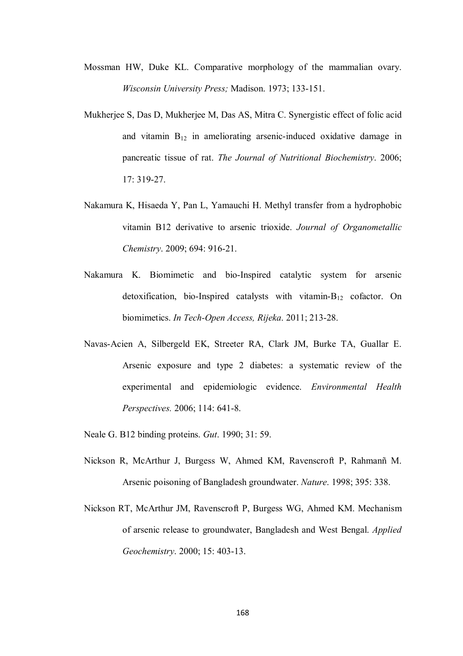- Mossman HW, Duke KL. Comparative morphology of the mammalian ovary. *Wisconsin University Press;* Madison. 1973; 133-151.
- Mukherjee S, Das D, Mukherjee M, Das AS, Mitra C. Synergistic effect of folic acid and vitamin  $B_{12}$  in ameliorating arsenic-induced oxidative damage in pancreatic tissue of rat. *The Journal of Nutritional Biochemistry*. 2006; 17: 319-27.
- Nakamura K, Hisaeda Y, Pan L, Yamauchi H. Methyl transfer from a hydrophobic vitamin B12 derivative to arsenic trioxide. *Journal of Organometallic Chemistry*. 2009; 694: 916-21.
- Nakamura K. Biomimetic and bio-Inspired catalytic system for arsenic detoxification, bio-Inspired catalysts with vitamin-B<sup>12</sup> cofactor. On biomimetics. *In Tech-Open Access, Rijeka*. 2011; 213-28.
- Navas-Acien A, Silbergeld EK, Streeter RA, Clark JM, Burke TA, Guallar E. Arsenic exposure and type 2 diabetes: a systematic review of the experimental and epidemiologic evidence. *Environmental Health Perspectives.* 2006; 114: 641-8.
- Neale G. B12 binding proteins. *Gut*. 1990; 31: 59.
- Nickson R, McArthur J, Burgess W, Ahmed KM, Ravenscroft P, Rahmanñ M. Arsenic poisoning of Bangladesh groundwater. *Nature*. 1998; 395: 338.
- Nickson RT, McArthur JM, Ravenscroft P, Burgess WG, Ahmed KM. Mechanism of arsenic release to groundwater, Bangladesh and West Bengal. *Applied Geochemistry*. 2000; 15: 403-13.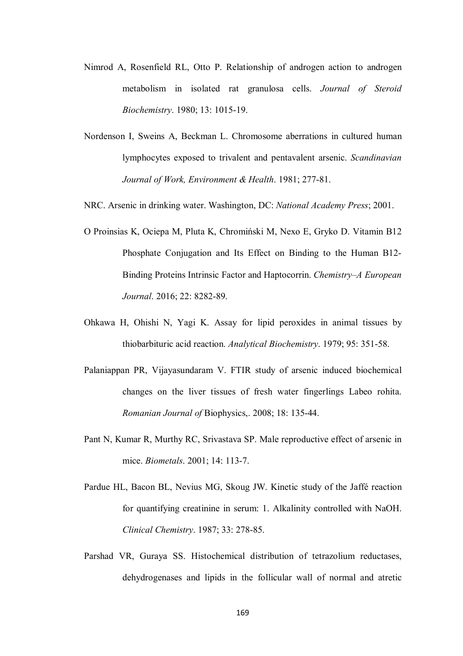- Nimrod A, Rosenfield RL, Otto P. Relationship of androgen action to androgen metabolism in isolated rat granulosa cells. *Journal of Steroid Biochemistry*. 1980; 13: 1015-19.
- Nordenson I, Sweins A, Beckman L. Chromosome aberrations in cultured human lymphocytes exposed to trivalent and pentavalent arsenic. *Scandinavian Journal of Work, Environment & Health*. 1981; 277-81.

NRC. Arsenic in drinking water. Washington, DC: *National Academy Press*; 2001.

- O Proinsias K, Ociepa M, Pluta K, Chromiński M, Nexo E, Gryko D. Vitamin B12 Phosphate Conjugation and Its Effect on Binding to the Human B12- Binding Proteins Intrinsic Factor and Haptocorrin. *Chemistry–A European Journal*. 2016; 22: 8282-89.
- Ohkawa H, Ohishi N, Yagi K. Assay for lipid peroxides in animal tissues by thiobarbituric acid reaction. *Analytical Biochemistry*. 1979; 95: 351-58.
- Palaniappan PR, Vijayasundaram V. FTIR study of arsenic induced biochemical changes on the liver tissues of fresh water fingerlings Labeo rohita. *Romanian Journal of* Biophysics,. 2008; 18: 135-44.
- Pant N, Kumar R, Murthy RC, Srivastava SP. Male reproductive effect of arsenic in mice. *Biometals*. 2001; 14: 113-7.
- Pardue HL, Bacon BL, Nevius MG, Skoug JW. Kinetic study of the Jaffé reaction for quantifying creatinine in serum: 1. Alkalinity controlled with NaOH. *Clinical Chemistry*. 1987; 33: 278-85.
- Parshad VR, Guraya SS. Histochemical distribution of tetrazolium reductases, dehydrogenases and lipids in the follicular wall of normal and atretic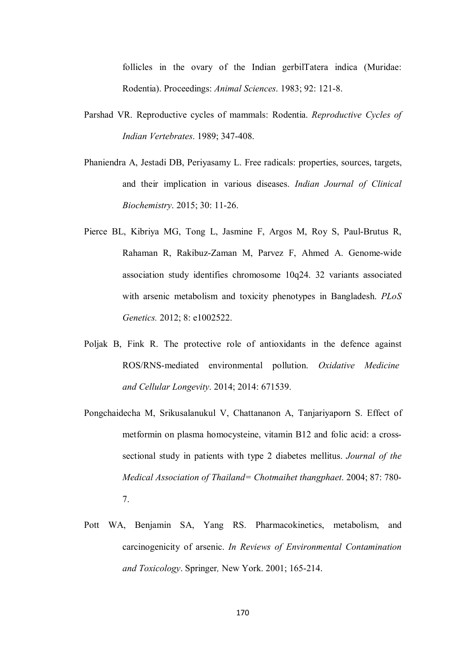follicles in the ovary of the Indian gerbilTatera indica (Muridae: Rodentia). Proceedings: *Animal Sciences*. 1983; 92: 121-8.

- Parshad VR. Reproductive cycles of mammals: Rodentia. *Reproductive Cycles of Indian Vertebrates*. 1989; 347-408.
- Phaniendra A, Jestadi DB, Periyasamy L. Free radicals: properties, sources, targets, and their implication in various diseases. *Indian Journal of Clinical Biochemistry*. 2015; 30: 11-26.
- Pierce BL, Kibriya MG, Tong L, Jasmine F, Argos M, Roy S, Paul-Brutus R, Rahaman R, Rakibuz-Zaman M, Parvez F, Ahmed A. Genome-wide association study identifies chromosome 10q24. 32 variants associated with arsenic metabolism and toxicity phenotypes in Bangladesh. *PLoS Genetics.* 2012; 8: e1002522.
- Poljak B, Fink R. The protective role of antioxidants in the defence against ROS/RNS-mediated environmental pollution. *Oxidative Medicine and Cellular Longevity*. 2014; 2014: 671539.
- Pongchaidecha M, Srikusalanukul V, Chattananon A, Tanjariyaporn S. Effect of metformin on plasma homocysteine, vitamin B12 and folic acid: a crosssectional study in patients with type 2 diabetes mellitus. *Journal of the Medical Association of Thailand= Chotmaihet thangphaet*. 2004; 87: 780- 7.
- Pott WA, Benjamin SA, Yang RS. Pharmacokinetics, metabolism, and carcinogenicity of arsenic. *In Reviews of Environmental Contamination and Toxicology*. Springer*,* New York. 2001; 165-214.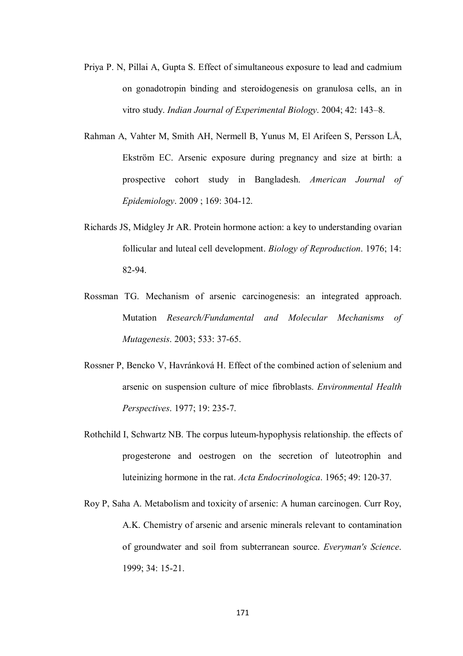- Priya P. N, Pillai A, Gupta S. Effect of simultaneous exposure to lead and cadmium on gonadotropin binding and steroidogenesis on granulosa cells, an in vitro study. *Indian Journal of Experimental Biology*. 2004; 42: 143–8.
- Rahman A, Vahter M, Smith AH, Nermell B, Yunus M, El Arifeen S, Persson LÅ, Ekström EC. Arsenic exposure during pregnancy and size at birth: a prospective cohort study in Bangladesh. *American Journal of Epidemiology*. 2009 ; 169: 304-12.
- Richards JS, Midgley Jr AR. Protein hormone action: a key to understanding ovarian follicular and luteal cell development. *Biology of Reproduction*. 1976; 14: 82-94.
- Rossman TG. Mechanism of arsenic carcinogenesis: an integrated approach. Mutation *Research/Fundamental and Molecular Mechanisms of Mutagenesis*. 2003; 533: 37-65.
- Rossner P, Bencko V, Havránková H. Effect of the combined action of selenium and arsenic on suspension culture of mice fibroblasts. *Environmental Health Perspectives*. 1977; 19: 235-7.
- Rothchild I, Schwartz NB. The corpus luteum-hypophysis relationship. the effects of progesterone and oestrogen on the secretion of luteotrophin and luteinizing hormone in the rat. *Acta Endocrinologica*. 1965; 49: 120-37.
- Roy P, Saha A. Metabolism and toxicity of arsenic: A human carcinogen. Curr Roy, A.K. Chemistry of arsenic and arsenic minerals relevant to contamination of groundwater and soil from subterranean source. *Everyman's Science*. 1999; 34: 15-21.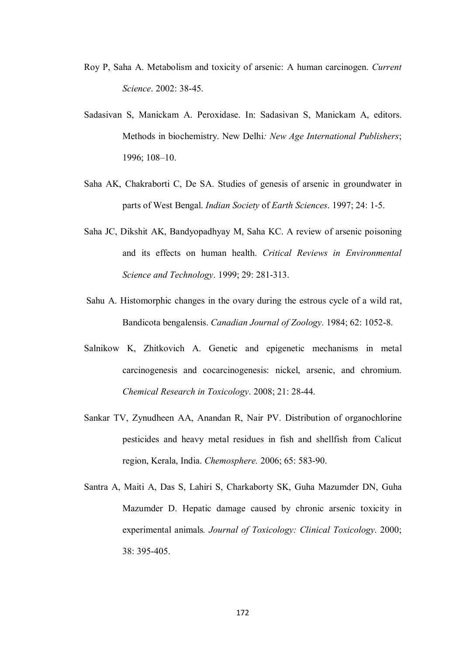- Roy P, Saha A. Metabolism and toxicity of arsenic: A human carcinogen. *Current Science*. 2002: 38-45.
- Sadasivan S, Manickam A. Peroxidase. In: Sadasivan S, Manickam A, editors. Methods in biochemistry. New Delhi*: New Age International Publishers*; 1996; 108–10.
- Saha AK, Chakraborti C, De SA. Studies of genesis of arsenic in groundwater in parts of West Bengal. *Indian Society* of *Earth Sciences*. 1997; 24: 1-5.
- Saha JC, Dikshit AK, Bandyopadhyay M, Saha KC. A review of arsenic poisoning and its effects on human health. *Critical Reviews in Environmental Science and Technology*. 1999; 29: 281-313.
- Sahu A. Histomorphic changes in the ovary during the estrous cycle of a wild rat, Bandicota bengalensis. *Canadian Journal of Zoology*. 1984; 62: 1052-8.
- Salnikow K, Zhitkovich A. Genetic and epigenetic mechanisms in metal carcinogenesis and cocarcinogenesis: nickel, arsenic, and chromium. *Chemical Research in Toxicology*. 2008; 21: 28-44.
- Sankar TV, Zynudheen AA, Anandan R, Nair PV. Distribution of organochlorine pesticides and heavy metal residues in fish and shellfish from Calicut region, Kerala, India. *Chemosphere.* 2006; 65: 583-90.
- Santra A, Maiti A, Das S, Lahiri S, Charkaborty SK, Guha Mazumder DN, Guha Mazumder D. Hepatic damage caused by chronic arsenic toxicity in experimental animals*. Journal of Toxicology: Clinical Toxicology*. 2000; 38: 395-405.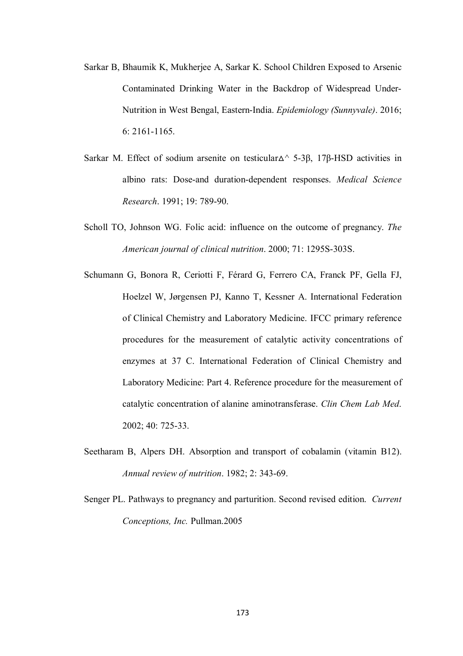- Sarkar B, Bhaumik K, Mukherjee A, Sarkar K. School Children Exposed to Arsenic Contaminated Drinking Water in the Backdrop of Widespread Under-Nutrition in West Bengal, Eastern-India. *Epidemiology (Sunnyvale)*. 2016; 6: 2161-1165.
- Sarkar M. Effect of sodium arsenite on testicular Δ<sup> $\land$ </sup> 5-3β, 17β-HSD activities in albino rats: Dose-and duration-dependent responses. *Medical Science Research*. 1991; 19: 789-90.
- Scholl TO, Johnson WG. Folic acid: influence on the outcome of pregnancy. *The American journal of clinical nutrition*. 2000; 71: 1295S-303S.
- Schumann G, Bonora R, Ceriotti F, Férard G, Ferrero CA, Franck PF, Gella FJ, Hoelzel W, Jørgensen PJ, Kanno T, Kessner A. International Federation of Clinical Chemistry and Laboratory Medicine. IFCC primary reference procedures for the measurement of catalytic activity concentrations of enzymes at 37 C. International Federation of Clinical Chemistry and Laboratory Medicine: Part 4. Reference procedure for the measurement of catalytic concentration of alanine aminotransferase. *Clin Chem Lab Med*. 2002; 40: 725-33.
- Seetharam B, Alpers DH. Absorption and transport of cobalamin (vitamin B12). *Annual review of nutrition*. 1982; 2: 343-69.
- Senger PL. Pathways to pregnancy and parturition. Second revised edition. *Current Conceptions, Inc.* Pullman.2005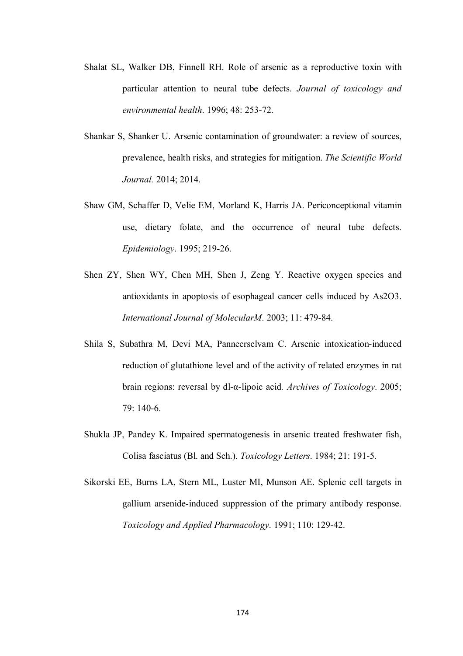- Shalat SL, Walker DB, Finnell RH. Role of arsenic as a reproductive toxin with particular attention to neural tube defects. *Journal of toxicology and environmental health*. 1996; 48: 253-72.
- Shankar S, Shanker U. Arsenic contamination of groundwater: a review of sources, prevalence, health risks, and strategies for mitigation. *The Scientific World Journal.* 2014; 2014.
- Shaw GM, Schaffer D, Velie EM, Morland K, Harris JA. Periconceptional vitamin use, dietary folate, and the occurrence of neural tube defects. *Epidemiology*. 1995; 219-26.
- Shen ZY, Shen WY, Chen MH, Shen J, Zeng Y. Reactive oxygen species and antioxidants in apoptosis of esophageal cancer cells induced by As2O3. *International Journal of MolecularM*. 2003; 11: 479-84.
- Shila S, Subathra M, Devi MA, Panneerselvam C. Arsenic intoxication-induced reduction of glutathione level and of the activity of related enzymes in rat brain regions: reversal by dl-α-lipoic acid*. Archives of Toxicology*. 2005; 79: 140-6.
- Shukla JP, Pandey K. Impaired spermatogenesis in arsenic treated freshwater fish, Colisa fasciatus (Bl. and Sch.). *Toxicology Letters*. 1984; 21: 191-5.
- Sikorski EE, Burns LA, Stern ML, Luster MI, Munson AE. Splenic cell targets in gallium arsenide-induced suppression of the primary antibody response. *Toxicology and Applied Pharmacology*. 1991; 110: 129-42.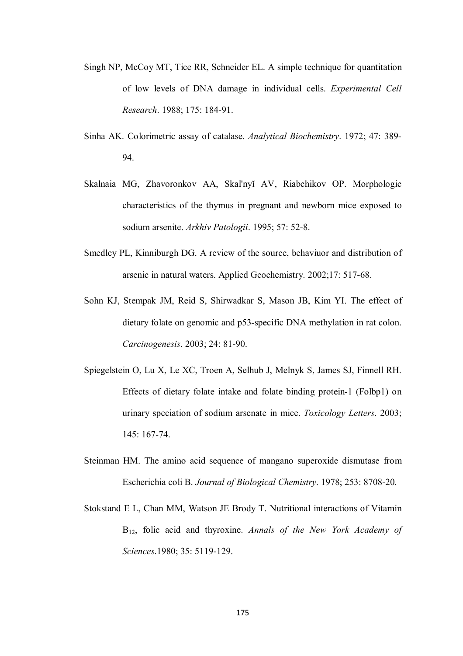- Singh NP, McCoy MT, Tice RR, Schneider EL. A simple technique for quantitation of low levels of DNA damage in individual cells. *Experimental Cell Research*. 1988; 175: 184-91.
- Sinha AK. Colorimetric assay of catalase. *Analytical Biochemistry*. 1972; 47: 389- 94.
- Skalnaia MG, Zhavoronkov AA, Skal'nyĭ AV, Riabchikov OP. Morphologic characteristics of the thymus in pregnant and newborn mice exposed to sodium arsenite. *Arkhiv Patologii*. 1995; 57: 52-8.
- Smedley PL, Kinniburgh DG. A review of the source, behaviuor and distribution of arsenic in natural waters. Applied Geochemistry. 2002;17: 517-68.
- Sohn KJ, Stempak JM, Reid S, Shirwadkar S, Mason JB, Kim YI. The effect of dietary folate on genomic and p53-specific DNA methylation in rat colon. *Carcinogenesis*. 2003; 24: 81-90.
- Spiegelstein O, Lu X, Le XC, Troen A, Selhub J, Melnyk S, James SJ, Finnell RH. Effects of dietary folate intake and folate binding protein-1 (Folbp1) on urinary speciation of sodium arsenate in mice. *Toxicology Letters*. 2003; 145: 167-74.
- Steinman HM. The amino acid sequence of mangano superoxide dismutase from Escherichia coli B. *Journal of Biological Chemistry*. 1978; 253: 8708-20.
- Stokstand E L, Chan MM, Watson JE Brody T. Nutritional interactions of Vitamin B12, folic acid and thyroxine. *Annals of the New York Academy of Sciences*.1980; 35: 5119-129.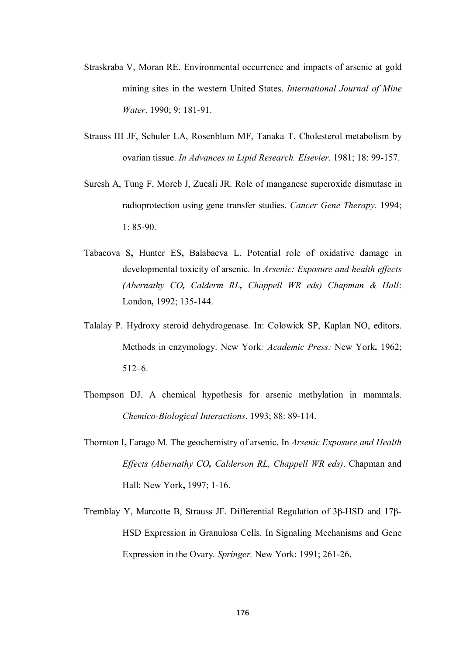- Straskraba V, Moran RE. Environmental occurrence and impacts of arsenic at gold mining sites in the western United States. *International Journal of Mine Water*. 1990; 9: 181-91.
- Strauss III JF, Schuler LA, Rosenblum MF, Tanaka T. Cholesterol metabolism by ovarian tissue. *In Advances in Lipid Research. Elsevier*. 1981; 18: 99-157.
- Suresh A, Tung F, Moreb J, Zucali JR. Role of manganese superoxide dismutase in radioprotection using gene transfer studies. *Cancer Gene Therapy*. 1994; 1: 85-90.
- Tabacova S**,** Hunter ES**,** Balabaeva L. Potential role of oxidative damage in developmental toxicity of arsenic. In *Arsenic: Exposure and health effects (Abernathy CO, Calderm RL, Chappell WR eds) Chapman & Hall*: London**,** 1992; 135-144.
- Talalay P. Hydroxy steroid dehydrogenase. In: Colowick SP, Kaplan NO, editors. Methods in enzymology. New York*: Academic Press:* New York**.** 1962; 512–6.
- Thompson DJ. A chemical hypothesis for arsenic methylation in mammals. *Chemico-Biological Interactions*. 1993; 88: 89-114.
- Thornton I**,** Farago M. The geochemistry of arsenic. In *Arsenic Exposure and Health Effects (Abernathy CO, Calderson RL, Chappell WR eds)*. Chapman and Hall: New York**,** 1997; 1-16.
- Tremblay Y, Marcotte B, Strauss JF. Differential Regulation of 3β-HSD and 17β-HSD Expression in Granulosa Cells. In Signaling Mechanisms and Gene Expression in the Ovary. *Springer,* New York: 1991; 261-26.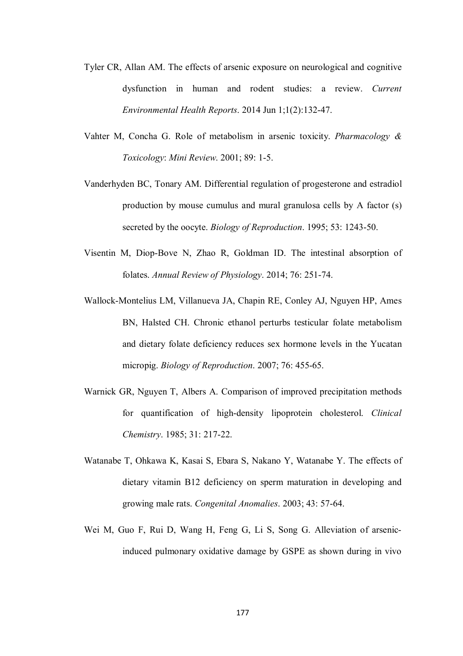- Tyler CR, Allan AM. The effects of arsenic exposure on neurological and cognitive dysfunction in human and rodent studies: a review. *Current Environmental Health Reports*. 2014 Jun 1;1(2):132-47.
- Vahter M, Concha G. Role of metabolism in arsenic toxicity. *Pharmacology & Toxicology*: *Mini Review*. 2001; 89: 1-5.
- Vanderhyden BC, Tonary AM. Differential regulation of progesterone and estradiol production by mouse cumulus and mural granulosa cells by A factor (s) secreted by the oocyte. *Biology of Reproduction*. 1995; 53: 1243-50.
- Visentin M, Diop-Bove N, Zhao R, Goldman ID. The intestinal absorption of folates. *Annual Review of Physiology*. 2014; 76: 251-74.
- Wallock-Montelius LM, Villanueva JA, Chapin RE, Conley AJ, Nguyen HP, Ames BN, Halsted CH. Chronic ethanol perturbs testicular folate metabolism and dietary folate deficiency reduces sex hormone levels in the Yucatan micropig. *Biology of Reproduction*. 2007; 76: 455-65.
- Warnick GR, Nguyen T, Albers A. Comparison of improved precipitation methods for quantification of high-density lipoprotein cholesterol. *Clinical Chemistry*. 1985; 31: 217-22.
- Watanabe T, Ohkawa K, Kasai S, Ebara S, Nakano Y, Watanabe Y. The effects of dietary vitamin B12 deficiency on sperm maturation in developing and growing male rats. *Congenital Anomalies*. 2003; 43: 57-64.
- Wei M, Guo F, Rui D, Wang H, Feng G, Li S, Song G. Alleviation of arsenicinduced pulmonary oxidative damage by GSPE as shown during in vivo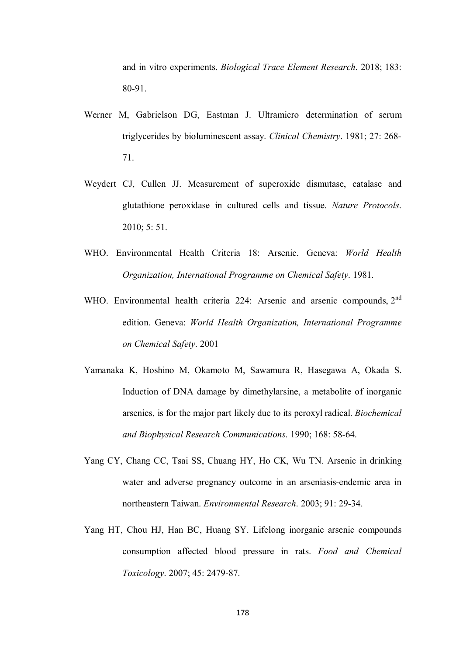and in vitro experiments. *Biological Trace Element Research*. 2018; 183: 80-91.

- Werner M, Gabrielson DG, Eastman J. Ultramicro determination of serum triglycerides by bioluminescent assay. *Clinical Chemistry*. 1981; 27: 268- 71.
- Weydert CJ, Cullen JJ. Measurement of superoxide dismutase, catalase and glutathione peroxidase in cultured cells and tissue. *Nature Protocols*. 2010; 5: 51.
- WHO. Environmental Health Criteria 18: Arsenic. Geneva: *World Health Organization, International Programme on Chemical Safety*. 1981.
- WHO. Environmental health criteria 224: Arsenic and arsenic compounds, 2<sup>nd</sup> edition. Geneva: *World Health Organization, International Programme on Chemical Safety*. 2001
- Yamanaka K, Hoshino M, Okamoto M, Sawamura R, Hasegawa A, Okada S. Induction of DNA damage by dimethylarsine, a metabolite of inorganic arsenics, is for the major part likely due to its peroxyl radical. *Biochemical and Biophysical Research Communications*. 1990; 168: 58-64.
- Yang CY, Chang CC, Tsai SS, Chuang HY, Ho CK, Wu TN. Arsenic in drinking water and adverse pregnancy outcome in an arseniasis-endemic area in northeastern Taiwan. *Environmental Research*. 2003; 91: 29-34.
- Yang HT, Chou HJ, Han BC, Huang SY. Lifelong inorganic arsenic compounds consumption affected blood pressure in rats. *Food and Chemical Toxicology*. 2007; 45: 2479-87.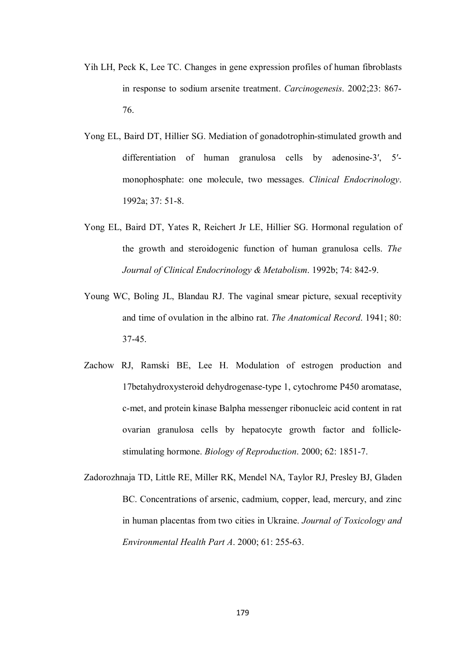- Yih LH, Peck K, Lee TC. Changes in gene expression profiles of human fibroblasts in response to sodium arsenite treatment. *Carcinogenesis*. 2002;23: 867- 76.
- Yong EL, Baird DT, Hillier SG. Mediation of gonadotrophin-stimulated growth and differentiation of human granulosa cells by adenosine-3′, 5′ monophosphate: one molecule, two messages. *Clinical Endocrinology*. 1992a; 37: 51-8.
- Yong EL, Baird DT, Yates R, Reichert Jr LE, Hillier SG. Hormonal regulation of the growth and steroidogenic function of human granulosa cells. *The Journal of Clinical Endocrinology & Metabolism*. 1992b; 74: 842-9.
- Young WC, Boling JL, Blandau RJ. The vaginal smear picture, sexual receptivity and time of ovulation in the albino rat. *The Anatomical Record*. 1941; 80: 37-45.
- Zachow RJ, Ramski BE, Lee H. Modulation of estrogen production and 17betahydroxysteroid dehydrogenase-type 1, cytochrome P450 aromatase, c-met, and protein kinase Balpha messenger ribonucleic acid content in rat ovarian granulosa cells by hepatocyte growth factor and folliclestimulating hormone. *Biology of Reproduction*. 2000; 62: 1851-7.
- Zadorozhnaja TD, Little RE, Miller RK, Mendel NA, Taylor RJ, Presley BJ, Gladen BC. Concentrations of arsenic, cadmium, copper, lead, mercury, and zinc in human placentas from two cities in Ukraine. *Journal of Toxicology and Environmental Health Part A*. 2000; 61: 255-63.